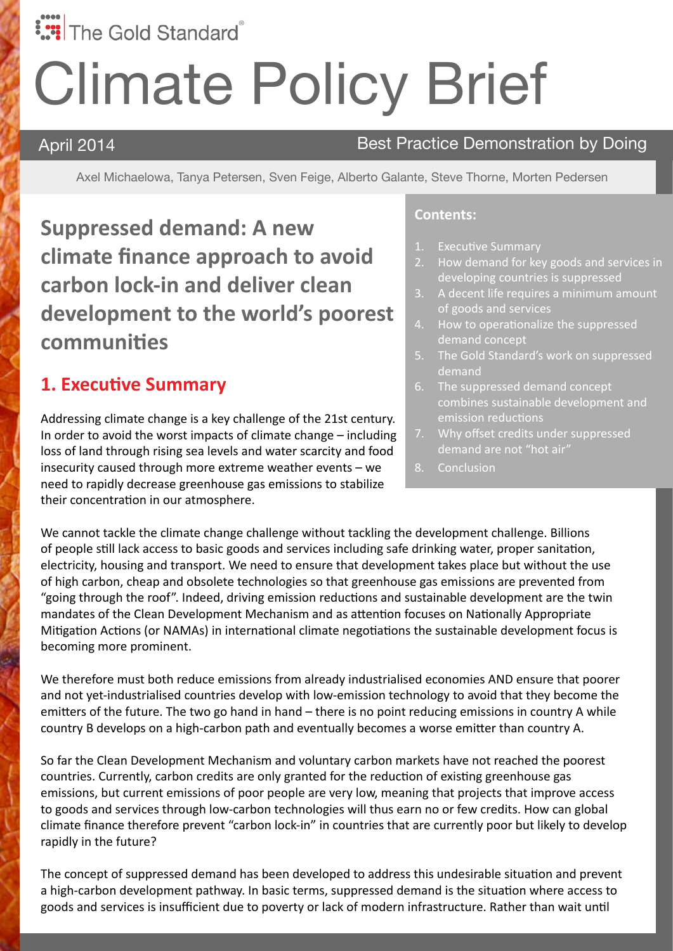# **:::** The Gold Standard

# Climate Policy Brief

#### April 2014 **Best Practice Demonstration by Doing**

Axel Michaelowa, Tanya Petersen, Sven Feige, Alberto Galante, Steve Thorne, Morten Pedersen

**Suppressed demand: A new climate finance approach to avoid carbon lock-in and deliver clean development to the world's poorest communities**

#### **1. Executive Summary**

Addressing climate change is a key challenge of the 21st century. In order to avoid the worst impacts of climate change – including loss of land through rising sea levels and water scarcity and food insecurity caused through more extreme weather events – we need to rapidly decrease greenhouse gas emissions to stabilize their concentration in our atmosphere.

#### **Contents:**

- **Executive Summary**
- 2. How demand for key goods and services in developing countries is suppressed
- 3. A decent life requires a minimum amount of goods and services
- 4. How to operationalize the suppressed demand concept
- 5. The Gold Standard's work on suppressed demand
- 6. The suppressed demand concept combines sustainable development and emission reductions
- 7. Why offset credits under suppressed demand are not "hot air"
- 8. Conclusion

We cannot tackle the climate change challenge without tackling the development challenge. Billions of people still lack access to basic goods and services including safe drinking water, proper sanitation, electricity, housing and transport. We need to ensure that development takes place but without the use of high carbon, cheap and obsolete technologies so that greenhouse gas emissions are prevented from "going through the roof". Indeed, driving emission reductions and sustainable development are the twin mandates of the Clean Development Mechanism and as attention focuses on Nationally Appropriate Mitigation Actions (or NAMAs) in international climate negotiations the sustainable development focus is becoming more prominent.

We therefore must both reduce emissions from already industrialised economies AND ensure that poorer and not yet-industrialised countries develop with low-emission technology to avoid that they become the emitters of the future. The two go hand in hand – there is no point reducing emissions in country A while country B develops on a high-carbon path and eventually becomes a worse emitter than country A.

So far the Clean Development Mechanism and voluntary carbon markets have not reached the poorest countries. Currently, carbon credits are only granted for the reduction of existing greenhouse gas emissions, but current emissions of poor people are very low, meaning that projects that improve access to goods and services through low-carbon technologies will thus earn no or few credits. How can global climate finance therefore prevent "carbon lock-in" in countries that are currently poor but likely to develop rapidly in the future?

The concept of suppressed demand has been developed to address this undesirable situation and prevent a high-carbon development pathway. In basic terms, suppressed demand is the situation where access to goods and services is insufficient due to poverty or lack of modern infrastructure. Rather than wait until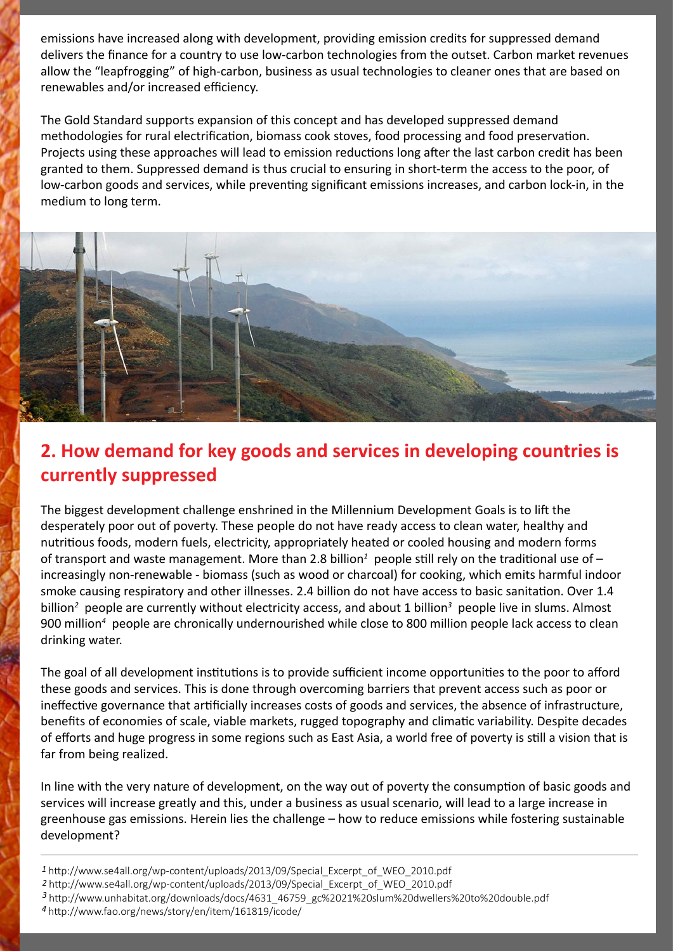emissions have increased along with development, providing emission credits for suppressed demand delivers the finance for a country to use low-carbon technologies from the outset. Carbon market revenues allow the "leapfrogging" of high-carbon, business as usual technologies to cleaner ones that are based on renewables and/or increased efficiency.

The Gold Standard supports expansion of this concept and has developed suppressed demand methodologies for rural electrification, biomass cook stoves, food processing and food preservation. Projects using these approaches will lead to emission reductions long after the last carbon credit has been granted to them. Suppressed demand is thus crucial to ensuring in short-term the access to the poor, of low-carbon goods and services, while preventing significant emissions increases, and carbon lock-in, in the medium to long term.



## **2. How demand for key goods and services in developing countries is currently suppressed**

The biggest development challenge enshrined in the Millennium Development Goals is to lift the desperately poor out of poverty. These people do not have ready access to clean water, healthy and nutritious foods, modern fuels, electricity, appropriately heated or cooled housing and modern forms of transport and waste management. More than 2.8 billion<sup>1</sup> people still rely on the traditional use of increasingly non-renewable - biomass (such as wood or charcoal) for cooking, which emits harmful indoor smoke causing respiratory and other illnesses. 2.4 billion do not have access to basic sanitation. Over 1.4 billion<sup>2</sup> people are currently without electricity access, and about 1 billion<sup>3</sup> people live in slums. Almost 900 million*<sup>4</sup>* people are chronically undernourished while close to 800 million people lack access to clean drinking water.

The goal of all development institutions is to provide sufficient income opportunities to the poor to afford these goods and services. This is done through overcoming barriers that prevent access such as poor or ineffective governance that artificially increases costs of goods and services, the absence of infrastructure, benefits of economies of scale, viable markets, rugged topography and climatic variability. Despite decades of efforts and huge progress in some regions such as East Asia, a world free of poverty is still a vision that is far from being realized.

In line with the very nature of development, on the way out of poverty the consumption of basic goods and services will increase greatly and this, under a business as usual scenario, will lead to a large increase in greenhouse gas emissions. Herein lies the challenge – how to reduce emissions while fostering sustainable development?

 http://www.se4all.org/wp-content/uploads/2013/09/Special\_Excerpt\_of\_WEO\_2010.pdf http://www.se4all.org/wp-content/uploads/2013/09/Special\_Excerpt\_of\_WEO\_2010.pdf http://www.unhabitat.org/downloads/docs/4631\_46759\_gc%2021%20slum%20dwellers%20to%20double.pdf  *4* http://www.fao.org/news/story/en/item/161819/icode/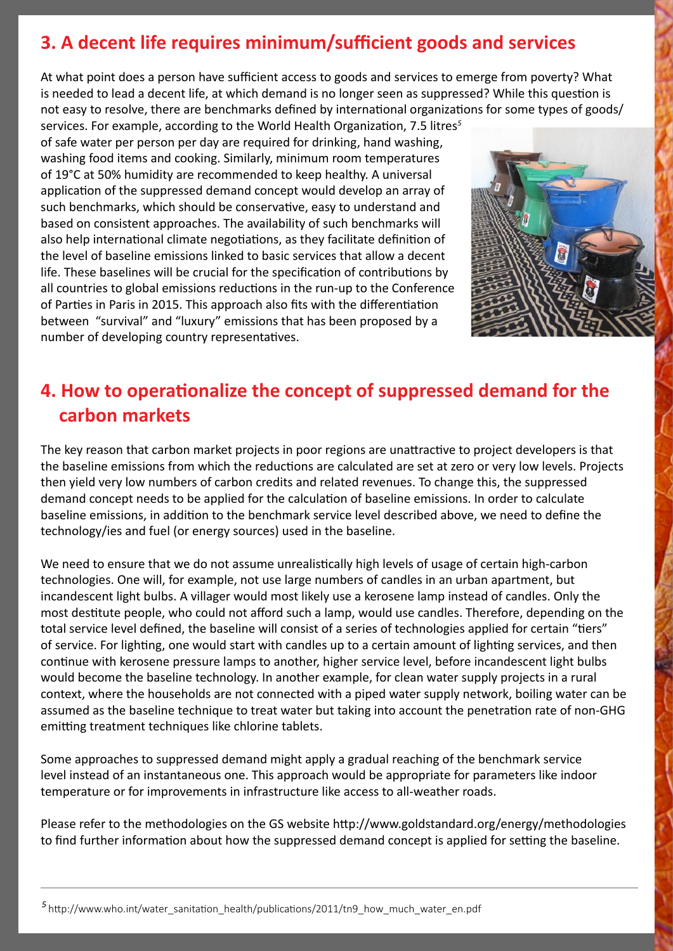### **3. A decent life requires minimum/sufficient goods and services**

At what point does a person have sufficient access to goods and services to emerge from poverty? What is needed to lead a decent life, at which demand is no longer seen as suppressed? While this question is not easy to resolve, there are benchmarks defined by international organizations for some types of goods/

services. For example, according to the World Health Organization, 7.5 litres*<sup>5</sup>* of safe water per person per day are required for drinking, hand washing, washing food items and cooking. Similarly, minimum room temperatures of 19°C at 50% humidity are recommended to keep healthy. A universal application of the suppressed demand concept would develop an array of such benchmarks, which should be conservative, easy to understand and based on consistent approaches. The availability of such benchmarks will also help international climate negotiations, as they facilitate definition of the level of baseline emissions linked to basic services that allow a decent life. These baselines will be crucial for the specification of contributions by all countries to global emissions reductions in the run-up to the Conference of Parties in Paris in 2015. This approach also fits with the differentiation between "survival" and "luxury" emissions that has been proposed by a number of developing country representatives.



#### **4. How to operationalize the concept of suppressed demand for the carbon markets**

The key reason that carbon market projects in poor regions are unattractive to project developers is that the baseline emissions from which the reductions are calculated are set at zero or very low levels. Projects then yield very low numbers of carbon credits and related revenues. To change this, the suppressed demand concept needs to be applied for the calculation of baseline emissions. In order to calculate baseline emissions, in addition to the benchmark service level described above, we need to define the technology/ies and fuel (or energy sources) used in the baseline.

We need to ensure that we do not assume unrealistically high levels of usage of certain high-carbon technologies. One will, for example, not use large numbers of candles in an urban apartment, but incandescent light bulbs. A villager would most likely use a kerosene lamp instead of candles. Only the most destitute people, who could not afford such a lamp, would use candles. Therefore, depending on the total service level defined, the baseline will consist of a series of technologies applied for certain "tiers" of service. For lighting, one would start with candles up to a certain amount of lighting services, and then continue with kerosene pressure lamps to another, higher service level, before incandescent light bulbs would become the baseline technology. In another example, for clean water supply projects in a rural context, where the households are not connected with a piped water supply network, boiling water can be assumed as the baseline technique to treat water but taking into account the penetration rate of non-GHG emitting treatment techniques like chlorine tablets.

Some approaches to suppressed demand might apply a gradual reaching of the benchmark service level instead of an instantaneous one. This approach would be appropriate for parameters like indoor temperature or for improvements in infrastructure like access to all-weather roads.

Please refer to the methodologies on the GS website http://www.goldstandard.org/energy/methodologies to find further information about how the suppressed demand concept is applied for setting the baseline.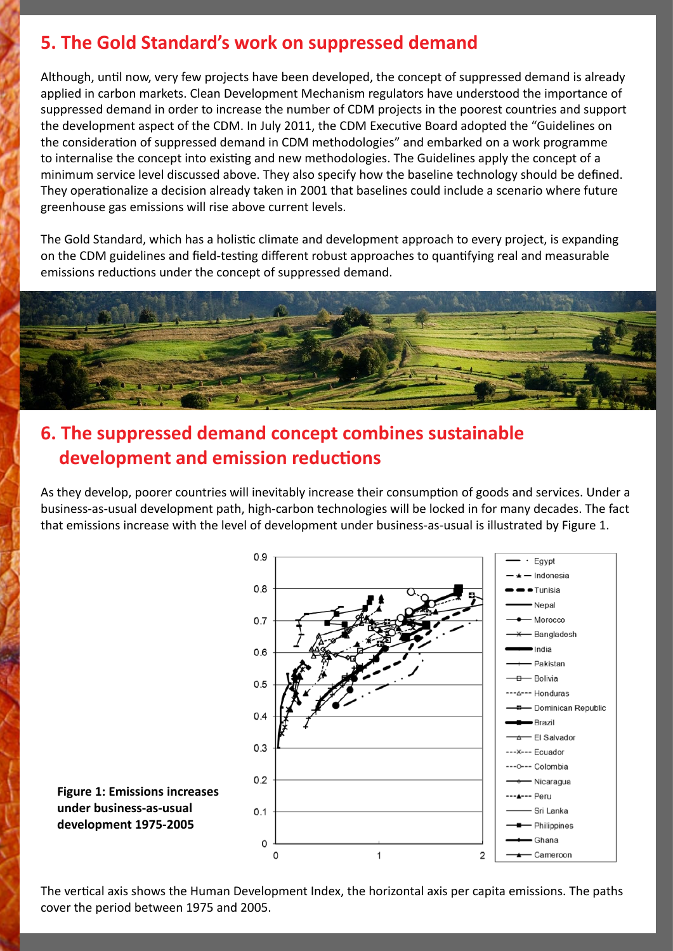#### **5. The Gold Standard's work on suppressed demand**

Although, until now, very few projects have been developed, the concept of suppressed demand is already applied in carbon markets. Clean Development Mechanism regulators have understood the importance of suppressed demand in order to increase the number of CDM projects in the poorest countries and support the development aspect of the CDM. In July 2011, the CDM Executive Board adopted the "Guidelines on the consideration of suppressed demand in CDM methodologies" and embarked on a work programme to internalise the concept into existing and new methodologies. The Guidelines apply the concept of a minimum service level discussed above. They also specify how the baseline technology should be defined. They operationalize a decision already taken in 2001 that baselines could include a scenario where future greenhouse gas emissions will rise above current levels.

The Gold Standard, which has a holistic climate and development approach to every project, is expanding on the CDM guidelines and field-testing different robust approaches to quantifying real and measurable emissions reductions under the concept of suppressed demand.



#### **6. The suppressed demand concept combines sustainable development and emission reductions**

As they develop, poorer countries will inevitably increase their consumption of goods and services. Under a business-as-usual development path, high-carbon technologies will be locked in for many decades. The fact that emissions increase with the level of development under business-as-usual is illustrated by Figure 1.



The vertical axis shows the Human Development Index, the horizontal axis per capita emissions. The paths cover the period between 1975 and 2005.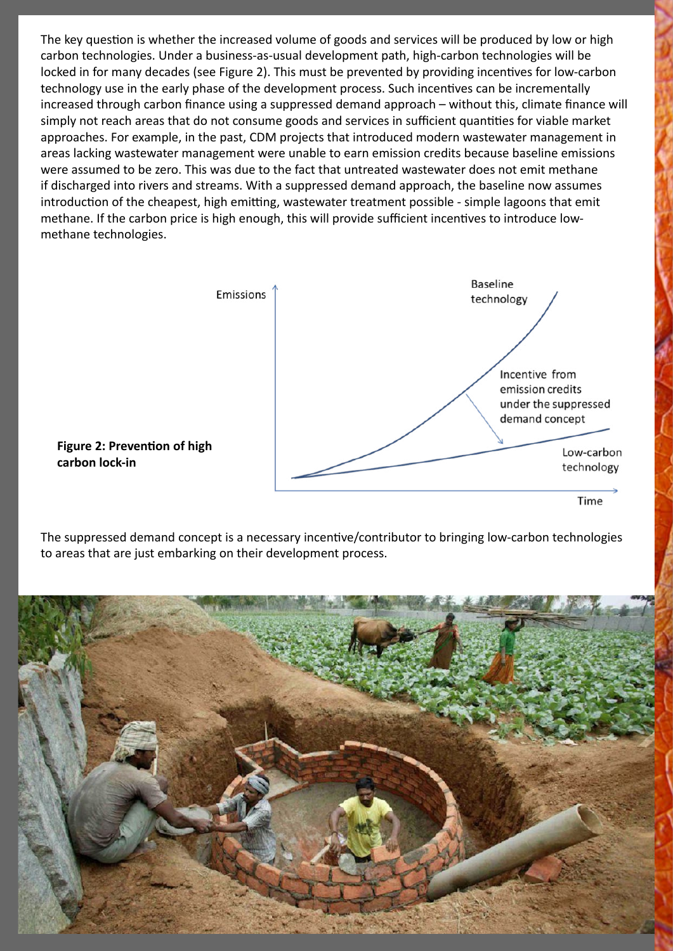The key question is whether the increased volume of goods and services will be produced by low or high carbon technologies. Under a business-as-usual development path, high-carbon technologies will be locked in for many decades (see Figure 2). This must be prevented by providing incentives for low-carbon technology use in the early phase of the development process. Such incentives can be incrementally increased through carbon finance using a suppressed demand approach – without this, climate finance will simply not reach areas that do not consume goods and services in sufficient quantities for viable market approaches. For example, in the past, CDM projects that introduced modern wastewater management in areas lacking wastewater management were unable to earn emission credits because baseline emissions were assumed to be zero. This was due to the fact that untreated wastewater does not emit methane if discharged into rivers and streams. With a suppressed demand approach, the baseline now assumes introduction of the cheapest, high emitting, wastewater treatment possible - simple lagoons that emit methane. If the carbon price is high enough, this will provide sufficient incentives to introduce lowmethane technologies.



**Figure 2: Prevention of high carbon lock-in**

The suppressed demand concept is a necessary incentive/contributor to bringing low-carbon technologies to areas that are just embarking on their development process.

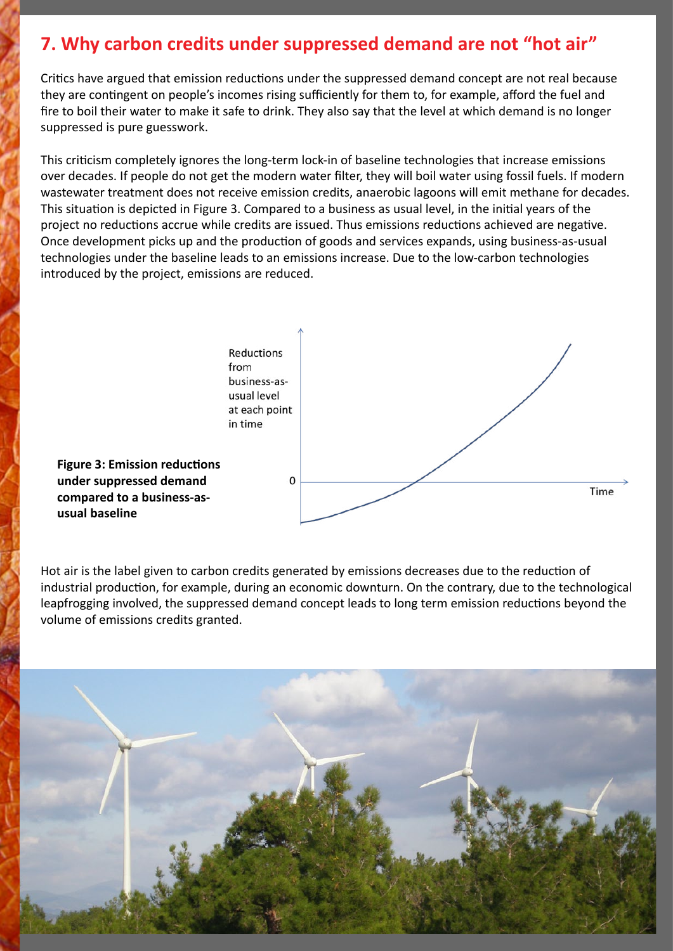#### **7. Why carbon credits under suppressed demand are not "hot air"**

Critics have argued that emission reductions under the suppressed demand concept are not real because they are contingent on people's incomes rising sufficiently for them to, for example, afford the fuel and fire to boil their water to make it safe to drink. They also say that the level at which demand is no longer suppressed is pure guesswork.

This criticism completely ignores the long-term lock-in of baseline technologies that increase emissions over decades. If people do not get the modern water filter, they will boil water using fossil fuels. If modern wastewater treatment does not receive emission credits, anaerobic lagoons will emit methane for decades. This situation is depicted in Figure 3. Compared to a business as usual level, in the initial years of the project no reductions accrue while credits are issued. Thus emissions reductions achieved are negative. Once development picks up and the production of goods and services expands, using business-as-usual technologies under the baseline leads to an emissions increase. Due to the low-carbon technologies introduced by the project, emissions are reduced.



Hot air is the label given to carbon credits generated by emissions decreases due to the reduction of industrial production, for example, during an economic downturn. On the contrary, due to the technological leapfrogging involved, the suppressed demand concept leads to long term emission reductions beyond the volume of emissions credits granted.

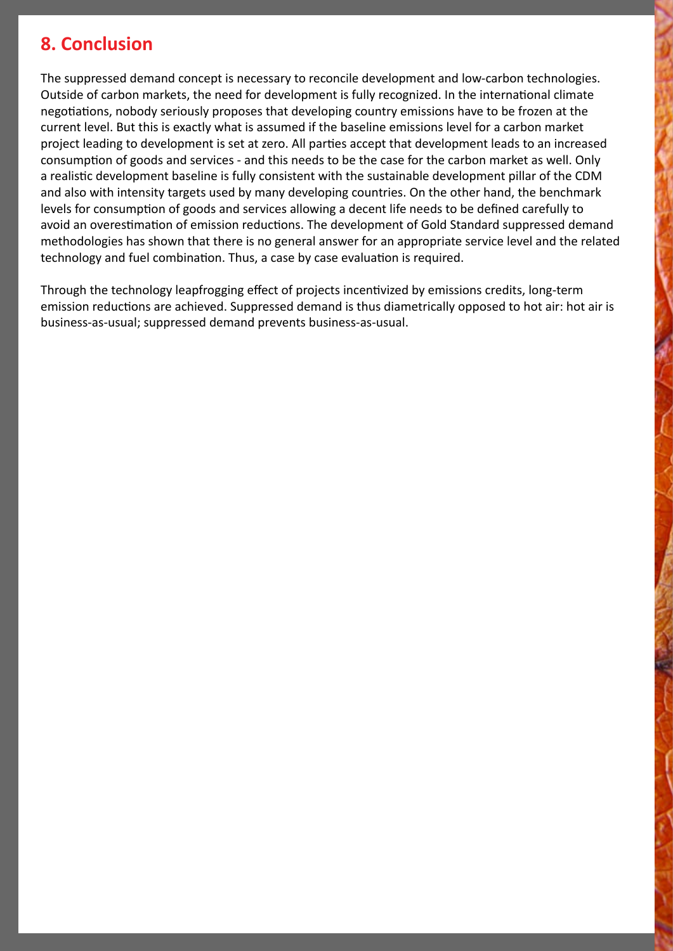#### **8. Conclusion**

The suppressed demand concept is necessary to reconcile development and low-carbon technologies. Outside of carbon markets, the need for development is fully recognized. In the international climate negotiations, nobody seriously proposes that developing country emissions have to be frozen at the current level. But this is exactly what is assumed if the baseline emissions level for a carbon market project leading to development is set at zero. All parties accept that development leads to an increased consumption of goods and services - and this needs to be the case for the carbon market as well. Only a realistic development baseline is fully consistent with the sustainable development pillar of the CDM and also with intensity targets used by many developing countries. On the other hand, the benchmark levels for consumption of goods and services allowing a decent life needs to be defined carefully to avoid an overestimation of emission reductions. The development of Gold Standard suppressed demand methodologies has shown that there is no general answer for an appropriate service level and the related technology and fuel combination. Thus, a case by case evaluation is required.

Through the technology leapfrogging effect of projects incentivized by emissions credits, long-term emission reductions are achieved. Suppressed demand is thus diametrically opposed to hot air: hot air is business-as-usual; suppressed demand prevents business-as-usual.